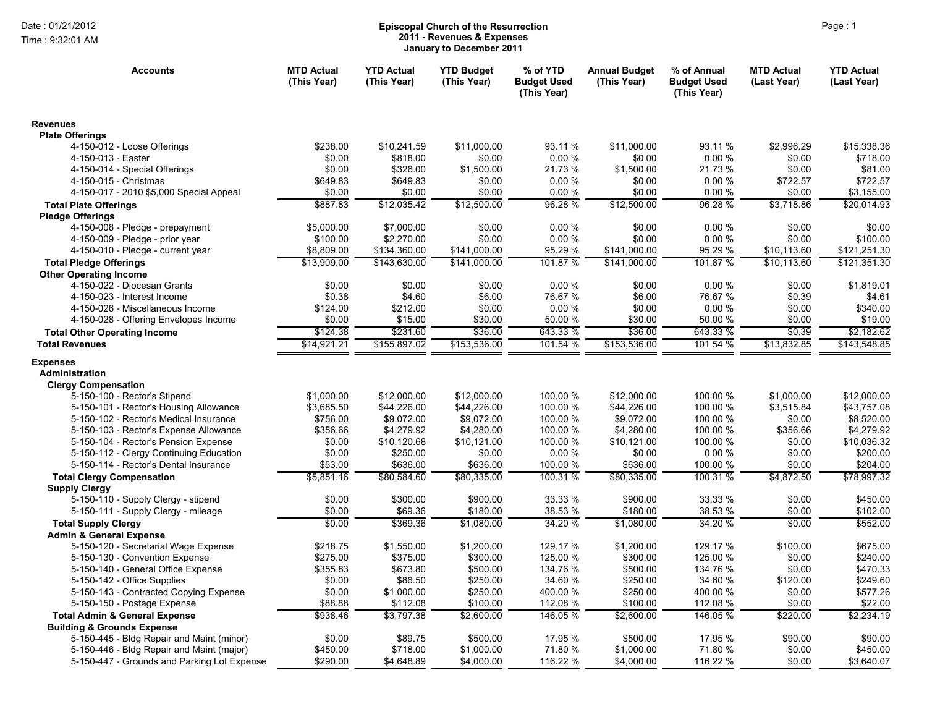Time : 9:32:01 AM

## Page : 1 **Episcopal Church of the Resurrection 2011 - Revenues & Expenses January to December 2011**

| <b>Revenues</b><br><b>Plate Offerings</b><br>4-150-012 - Loose Offerings<br>\$238.00<br>\$10,241.59<br>\$11,000.00<br>93.11 %<br>\$11,000.00<br>93.11 %<br>\$2,996.29<br>\$15,338.36<br>0.00%<br>4-150-013 - Easter<br>\$0.00<br>\$818.00<br>\$0.00<br>\$0.00<br>0.00%<br>\$0.00<br>\$718.00<br>4-150-014 - Special Offerings<br>\$0.00<br>\$326.00<br>\$1,500.00<br>21.73 %<br>\$1,500.00<br>21.73%<br>\$0.00<br>\$81.00<br>4-150-015 - Christmas<br>\$649.83<br>\$649.83<br>\$0.00<br>0.00%<br>\$0.00<br>0.00%<br>\$722.57<br>\$722.57<br>\$0.00<br>\$0.00<br>\$0.00<br>0.00%<br>\$0.00<br>0.00 %<br>\$0.00<br>\$3,155.00<br>4-150-017 - 2010 \$5,000 Special Appeal<br>\$887.83<br>\$12,035.42<br>\$12,500.00<br>96.28 %<br>\$12,500.00<br>96.28 %<br>\$3,718.86<br>\$20,014.93<br><b>Total Plate Offerings</b><br><b>Pledge Offerings</b><br>\$7,000.00<br>\$0.00<br>0.00%<br>\$0.00<br>0.00%<br>\$0.00<br>\$0.00<br>4-150-008 - Pledge - prepayment<br>\$5,000.00<br>0.00%<br>\$0.00<br>0.00%<br>4-150-009 - Pledge - prior year<br>\$100.00<br>\$2,270.00<br>\$0.00<br>\$0.00<br>\$100.00<br>\$8,809.00<br>95.29 %<br>95.29 %<br>4-150-010 - Pledge - current year<br>\$134,360.00<br>\$141,000.00<br>\$141,000.00<br>\$10,113.60<br>\$121,251.30<br>\$13,909.00<br>\$141,000.00<br>101.87 %<br>\$141.000.00<br>101.87 %<br>\$143,630.00<br>\$10,113.60<br>\$121,351.30<br><b>Total Pledge Offerings</b><br><b>Other Operating Income</b><br>\$0.00<br>0.00%<br>0.00%<br>\$1,819.01<br>4-150-022 - Diocesan Grants<br>\$0.00<br>\$0.00<br>\$0.00<br>\$0.00<br>\$0.38<br>\$4.60<br>\$6.00<br>76.67%<br>\$6.00<br>76.67%<br>\$0.39<br>\$4.61<br>4-150-023 - Interest Income<br>\$212.00<br>\$0.00<br>0.00%<br>\$0.00<br>0.00%<br>\$340.00<br>4-150-026 - Miscellaneous Income<br>\$124.00<br>\$0.00<br>4-150-028 - Offering Envelopes Income<br>\$0.00<br>\$30.00<br>50.00 %<br>\$30.00<br>50.00 %<br>\$19.00<br>\$15.00<br>\$0.00<br>\$124.38<br>\$231.60<br>\$36.00<br>643.33 %<br>\$36.00<br>643.33 %<br>\$0.39<br>\$2,182.62<br><b>Total Other Operating Income</b><br>\$155,897.02<br>\$153,536.00<br>101.54 %<br>\$153,536.00<br>101.54 %<br>\$13,832.85<br>\$143,548.85<br>\$14,921.21<br><b>Total Revenues</b><br><b>Expenses</b><br>Administration<br><b>Clergy Compensation</b><br>100.00 %<br>100.00 %<br>5-150-100 - Rector's Stipend<br>\$1,000.00<br>\$12,000.00<br>\$12,000.00<br>\$12,000.00<br>\$1,000.00<br>\$12,000.00<br>100.00 %<br>5-150-101 - Rector's Housing Allowance<br>\$3,685.50<br>\$44,226.00<br>\$44,226.00<br>\$44,226.00<br>100.00 %<br>\$3,515.84<br>\$43,757.08<br>\$756.00<br>\$9,072.00<br>\$9,072.00<br>100.00 %<br>\$9,072.00<br>100.00 %<br>\$8,520.00<br>5-150-102 - Rector's Medical Insurance<br>\$0.00<br>5-150-103 - Rector's Expense Allowance<br>\$356.66<br>\$4,279.92<br>\$4,280.00<br>100.00 %<br>\$4,280.00<br>100.00 %<br>\$356.66<br>\$4,279.92<br>100.00 %<br>5-150-104 - Rector's Pension Expense<br>\$0.00<br>\$10,120.68<br>\$10,121.00<br>\$10,121.00<br>100.00 %<br>\$0.00<br>\$10,036.32<br>0.00%<br>\$200.00<br>5-150-112 - Clergy Continuing Education<br>\$0.00<br>\$250.00<br>\$0.00<br>\$0.00<br>0.00%<br>\$0.00<br>5-150-114 - Rector's Dental Insurance<br>\$636.00<br>100.00 %<br>100.00 %<br>\$204.00<br>\$53.00<br>\$636.00<br>\$636.00<br>\$0.00<br>\$5,851.16<br>\$80,584.60<br>\$80,335.00<br>100.31 %<br>\$80,335.00<br>100.31 %<br>\$4,872.50<br>\$78,997.32<br><b>Total Clergy Compensation</b><br><b>Supply Clergy</b><br>\$300.00<br>\$900.00<br>33.33 %<br>\$900.00<br>33.33 %<br>\$450.00<br>5-150-110 - Supply Clergy - stipend<br>\$0.00<br>\$0.00<br>5-150-111 - Supply Clergy - mileage<br>\$0.00<br>\$69.36<br>\$180.00<br>38.53 %<br>\$180.00<br>38.53 %<br>\$0.00<br>\$102.00<br>\$0.00<br>\$369.36<br>\$1.080.00<br>34.20 %<br>34.20 %<br>\$0.00<br>\$552.00<br>\$1.080.00<br><b>Total Supply Clergy</b><br><b>Admin &amp; General Expense</b><br>5-150-120 - Secretarial Wage Expense<br>\$218.75<br>\$1,550.00<br>\$1,200.00<br>129.17 %<br>\$1,200.00<br>129.17 %<br>\$100.00<br>\$675.00<br>\$300.00<br>125.00 %<br>\$0.00<br>\$240.00<br>5-150-130 - Convention Expense<br>\$275.00<br>\$375.00<br>\$300.00<br>125.00 %<br>134.76 %<br>\$0.00<br>\$470.33<br>5-150-140 - General Office Expense<br>\$355.83<br>\$673.80<br>\$500.00<br>\$500.00<br>134.76 %<br>\$250.00<br>34.60 %<br>34.60 %<br>\$249.60<br>5-150-142 - Office Supplies<br>\$0.00<br>\$86.50<br>\$250.00<br>\$120.00<br>\$1,000.00<br>\$250.00<br>400.00 %<br>\$250.00<br>400.00 %<br>\$0.00<br>\$577.26<br>5-150-143 - Contracted Copying Expense<br>\$0.00<br>\$100.00<br>112.08 %<br>\$22.00<br>5-150-150 - Postage Expense<br>\$88.88<br>\$112.08<br>112.08 %<br>\$100.00<br>\$0.00<br>\$938.46<br>\$3,797.38<br>\$2,600.00<br>146.05 %<br>\$2,600.00<br>146.05 %<br>\$220.00<br>\$2,234.19<br><b>Total Admin &amp; General Expense</b><br><b>Building &amp; Grounds Expense</b><br>5-150-445 - Bldg Repair and Maint (minor)<br>\$0.00<br>\$89.75<br>\$500.00<br>17.95 %<br>\$500.00<br>17.95 %<br>\$90.00<br>\$90.00<br>71.80%<br>\$450.00<br>5-150-446 - Bldg Repair and Maint (major)<br>\$450.00<br>\$718.00<br>\$1,000.00<br>71.80 %<br>\$1,000.00<br>\$0.00<br>\$290.00<br>116.22 %<br>\$4,000.00<br>116.22 %<br>5-150-447 - Grounds and Parking Lot Expense<br>\$4.648.89<br>\$4,000.00<br>\$0.00<br>\$3,640.07 | <b>Accounts</b> | <b>MTD Actual</b><br>(This Year) | <b>YTD Actual</b><br>(This Year) | <b>YTD Budget</b><br>(This Year) | % of YTD<br><b>Budget Used</b><br>(This Year) | <b>Annual Budget</b><br>(This Year) | % of Annual<br><b>Budget Used</b><br>(This Year) | <b>MTD Actual</b><br>(Last Year) | <b>YTD Actual</b><br>(Last Year) |
|------------------------------------------------------------------------------------------------------------------------------------------------------------------------------------------------------------------------------------------------------------------------------------------------------------------------------------------------------------------------------------------------------------------------------------------------------------------------------------------------------------------------------------------------------------------------------------------------------------------------------------------------------------------------------------------------------------------------------------------------------------------------------------------------------------------------------------------------------------------------------------------------------------------------------------------------------------------------------------------------------------------------------------------------------------------------------------------------------------------------------------------------------------------------------------------------------------------------------------------------------------------------------------------------------------------------------------------------------------------------------------------------------------------------------------------------------------------------------------------------------------------------------------------------------------------------------------------------------------------------------------------------------------------------------------------------------------------------------------------------------------------------------------------------------------------------------------------------------------------------------------------------------------------------------------------------------------------------------------------------------------------------------------------------------------------------------------------------------------------------------------------------------------------------------------------------------------------------------------------------------------------------------------------------------------------------------------------------------------------------------------------------------------------------------------------------------------------------------------------------------------------------------------------------------------------------------------------------------------------------------------------------------------------------------------------------------------------------------------------------------------------------------------------------------------------------------------------------------------------------------------------------------------------------------------------------------------------------------------------------------------------------------------------------------------------------------------------------------------------------------------------------------------------------------------------------------------------------------------------------------------------------------------------------------------------------------------------------------------------------------------------------------------------------------------------------------------------------------------------------------------------------------------------------------------------------------------------------------------------------------------------------------------------------------------------------------------------------------------------------------------------------------------------------------------------------------------------------------------------------------------------------------------------------------------------------------------------------------------------------------------------------------------------------------------------------------------------------------------------------------------------------------------------------------------------------------------------------------------------------------------------------------------------------------------------------------------------------------------------------------------------------------------------------------------------------------------------------------------------------------------------------------------------------------------------------------------------------------------------------------------------------------------------------------------------------------------------------------------------------------------------------------------------------------------------------------------------------------------------------------------------------------------------------------------------------------------------------------------------------------------------------------------------------------------------------------------------------------------------------------------------------------------------------------------------------------------------------------------------------------------------------------------------------------------------------------------------------------------------------------------------------|-----------------|----------------------------------|----------------------------------|----------------------------------|-----------------------------------------------|-------------------------------------|--------------------------------------------------|----------------------------------|----------------------------------|
|                                                                                                                                                                                                                                                                                                                                                                                                                                                                                                                                                                                                                                                                                                                                                                                                                                                                                                                                                                                                                                                                                                                                                                                                                                                                                                                                                                                                                                                                                                                                                                                                                                                                                                                                                                                                                                                                                                                                                                                                                                                                                                                                                                                                                                                                                                                                                                                                                                                                                                                                                                                                                                                                                                                                                                                                                                                                                                                                                                                                                                                                                                                                                                                                                                                                                                                                                                                                                                                                                                                                                                                                                                                                                                                                                                                                                                                                                                                                                                                                                                                                                                                                                                                                                                                                                                                                                                                                                                                                                                                                                                                                                                                                                                                                                                                                                                                                                                                                                                                                                                                                                                                                                                                                                                                                                                                                                                                                |                 |                                  |                                  |                                  |                                               |                                     |                                                  |                                  |                                  |
|                                                                                                                                                                                                                                                                                                                                                                                                                                                                                                                                                                                                                                                                                                                                                                                                                                                                                                                                                                                                                                                                                                                                                                                                                                                                                                                                                                                                                                                                                                                                                                                                                                                                                                                                                                                                                                                                                                                                                                                                                                                                                                                                                                                                                                                                                                                                                                                                                                                                                                                                                                                                                                                                                                                                                                                                                                                                                                                                                                                                                                                                                                                                                                                                                                                                                                                                                                                                                                                                                                                                                                                                                                                                                                                                                                                                                                                                                                                                                                                                                                                                                                                                                                                                                                                                                                                                                                                                                                                                                                                                                                                                                                                                                                                                                                                                                                                                                                                                                                                                                                                                                                                                                                                                                                                                                                                                                                                                |                 |                                  |                                  |                                  |                                               |                                     |                                                  |                                  |                                  |
|                                                                                                                                                                                                                                                                                                                                                                                                                                                                                                                                                                                                                                                                                                                                                                                                                                                                                                                                                                                                                                                                                                                                                                                                                                                                                                                                                                                                                                                                                                                                                                                                                                                                                                                                                                                                                                                                                                                                                                                                                                                                                                                                                                                                                                                                                                                                                                                                                                                                                                                                                                                                                                                                                                                                                                                                                                                                                                                                                                                                                                                                                                                                                                                                                                                                                                                                                                                                                                                                                                                                                                                                                                                                                                                                                                                                                                                                                                                                                                                                                                                                                                                                                                                                                                                                                                                                                                                                                                                                                                                                                                                                                                                                                                                                                                                                                                                                                                                                                                                                                                                                                                                                                                                                                                                                                                                                                                                                |                 |                                  |                                  |                                  |                                               |                                     |                                                  |                                  |                                  |
|                                                                                                                                                                                                                                                                                                                                                                                                                                                                                                                                                                                                                                                                                                                                                                                                                                                                                                                                                                                                                                                                                                                                                                                                                                                                                                                                                                                                                                                                                                                                                                                                                                                                                                                                                                                                                                                                                                                                                                                                                                                                                                                                                                                                                                                                                                                                                                                                                                                                                                                                                                                                                                                                                                                                                                                                                                                                                                                                                                                                                                                                                                                                                                                                                                                                                                                                                                                                                                                                                                                                                                                                                                                                                                                                                                                                                                                                                                                                                                                                                                                                                                                                                                                                                                                                                                                                                                                                                                                                                                                                                                                                                                                                                                                                                                                                                                                                                                                                                                                                                                                                                                                                                                                                                                                                                                                                                                                                |                 |                                  |                                  |                                  |                                               |                                     |                                                  |                                  |                                  |
|                                                                                                                                                                                                                                                                                                                                                                                                                                                                                                                                                                                                                                                                                                                                                                                                                                                                                                                                                                                                                                                                                                                                                                                                                                                                                                                                                                                                                                                                                                                                                                                                                                                                                                                                                                                                                                                                                                                                                                                                                                                                                                                                                                                                                                                                                                                                                                                                                                                                                                                                                                                                                                                                                                                                                                                                                                                                                                                                                                                                                                                                                                                                                                                                                                                                                                                                                                                                                                                                                                                                                                                                                                                                                                                                                                                                                                                                                                                                                                                                                                                                                                                                                                                                                                                                                                                                                                                                                                                                                                                                                                                                                                                                                                                                                                                                                                                                                                                                                                                                                                                                                                                                                                                                                                                                                                                                                                                                |                 |                                  |                                  |                                  |                                               |                                     |                                                  |                                  |                                  |
|                                                                                                                                                                                                                                                                                                                                                                                                                                                                                                                                                                                                                                                                                                                                                                                                                                                                                                                                                                                                                                                                                                                                                                                                                                                                                                                                                                                                                                                                                                                                                                                                                                                                                                                                                                                                                                                                                                                                                                                                                                                                                                                                                                                                                                                                                                                                                                                                                                                                                                                                                                                                                                                                                                                                                                                                                                                                                                                                                                                                                                                                                                                                                                                                                                                                                                                                                                                                                                                                                                                                                                                                                                                                                                                                                                                                                                                                                                                                                                                                                                                                                                                                                                                                                                                                                                                                                                                                                                                                                                                                                                                                                                                                                                                                                                                                                                                                                                                                                                                                                                                                                                                                                                                                                                                                                                                                                                                                |                 |                                  |                                  |                                  |                                               |                                     |                                                  |                                  |                                  |
|                                                                                                                                                                                                                                                                                                                                                                                                                                                                                                                                                                                                                                                                                                                                                                                                                                                                                                                                                                                                                                                                                                                                                                                                                                                                                                                                                                                                                                                                                                                                                                                                                                                                                                                                                                                                                                                                                                                                                                                                                                                                                                                                                                                                                                                                                                                                                                                                                                                                                                                                                                                                                                                                                                                                                                                                                                                                                                                                                                                                                                                                                                                                                                                                                                                                                                                                                                                                                                                                                                                                                                                                                                                                                                                                                                                                                                                                                                                                                                                                                                                                                                                                                                                                                                                                                                                                                                                                                                                                                                                                                                                                                                                                                                                                                                                                                                                                                                                                                                                                                                                                                                                                                                                                                                                                                                                                                                                                |                 |                                  |                                  |                                  |                                               |                                     |                                                  |                                  |                                  |
|                                                                                                                                                                                                                                                                                                                                                                                                                                                                                                                                                                                                                                                                                                                                                                                                                                                                                                                                                                                                                                                                                                                                                                                                                                                                                                                                                                                                                                                                                                                                                                                                                                                                                                                                                                                                                                                                                                                                                                                                                                                                                                                                                                                                                                                                                                                                                                                                                                                                                                                                                                                                                                                                                                                                                                                                                                                                                                                                                                                                                                                                                                                                                                                                                                                                                                                                                                                                                                                                                                                                                                                                                                                                                                                                                                                                                                                                                                                                                                                                                                                                                                                                                                                                                                                                                                                                                                                                                                                                                                                                                                                                                                                                                                                                                                                                                                                                                                                                                                                                                                                                                                                                                                                                                                                                                                                                                                                                |                 |                                  |                                  |                                  |                                               |                                     |                                                  |                                  |                                  |
|                                                                                                                                                                                                                                                                                                                                                                                                                                                                                                                                                                                                                                                                                                                                                                                                                                                                                                                                                                                                                                                                                                                                                                                                                                                                                                                                                                                                                                                                                                                                                                                                                                                                                                                                                                                                                                                                                                                                                                                                                                                                                                                                                                                                                                                                                                                                                                                                                                                                                                                                                                                                                                                                                                                                                                                                                                                                                                                                                                                                                                                                                                                                                                                                                                                                                                                                                                                                                                                                                                                                                                                                                                                                                                                                                                                                                                                                                                                                                                                                                                                                                                                                                                                                                                                                                                                                                                                                                                                                                                                                                                                                                                                                                                                                                                                                                                                                                                                                                                                                                                                                                                                                                                                                                                                                                                                                                                                                |                 |                                  |                                  |                                  |                                               |                                     |                                                  |                                  |                                  |
|                                                                                                                                                                                                                                                                                                                                                                                                                                                                                                                                                                                                                                                                                                                                                                                                                                                                                                                                                                                                                                                                                                                                                                                                                                                                                                                                                                                                                                                                                                                                                                                                                                                                                                                                                                                                                                                                                                                                                                                                                                                                                                                                                                                                                                                                                                                                                                                                                                                                                                                                                                                                                                                                                                                                                                                                                                                                                                                                                                                                                                                                                                                                                                                                                                                                                                                                                                                                                                                                                                                                                                                                                                                                                                                                                                                                                                                                                                                                                                                                                                                                                                                                                                                                                                                                                                                                                                                                                                                                                                                                                                                                                                                                                                                                                                                                                                                                                                                                                                                                                                                                                                                                                                                                                                                                                                                                                                                                |                 |                                  |                                  |                                  |                                               |                                     |                                                  |                                  |                                  |
|                                                                                                                                                                                                                                                                                                                                                                                                                                                                                                                                                                                                                                                                                                                                                                                                                                                                                                                                                                                                                                                                                                                                                                                                                                                                                                                                                                                                                                                                                                                                                                                                                                                                                                                                                                                                                                                                                                                                                                                                                                                                                                                                                                                                                                                                                                                                                                                                                                                                                                                                                                                                                                                                                                                                                                                                                                                                                                                                                                                                                                                                                                                                                                                                                                                                                                                                                                                                                                                                                                                                                                                                                                                                                                                                                                                                                                                                                                                                                                                                                                                                                                                                                                                                                                                                                                                                                                                                                                                                                                                                                                                                                                                                                                                                                                                                                                                                                                                                                                                                                                                                                                                                                                                                                                                                                                                                                                                                |                 |                                  |                                  |                                  |                                               |                                     |                                                  |                                  |                                  |
|                                                                                                                                                                                                                                                                                                                                                                                                                                                                                                                                                                                                                                                                                                                                                                                                                                                                                                                                                                                                                                                                                                                                                                                                                                                                                                                                                                                                                                                                                                                                                                                                                                                                                                                                                                                                                                                                                                                                                                                                                                                                                                                                                                                                                                                                                                                                                                                                                                                                                                                                                                                                                                                                                                                                                                                                                                                                                                                                                                                                                                                                                                                                                                                                                                                                                                                                                                                                                                                                                                                                                                                                                                                                                                                                                                                                                                                                                                                                                                                                                                                                                                                                                                                                                                                                                                                                                                                                                                                                                                                                                                                                                                                                                                                                                                                                                                                                                                                                                                                                                                                                                                                                                                                                                                                                                                                                                                                                |                 |                                  |                                  |                                  |                                               |                                     |                                                  |                                  |                                  |
|                                                                                                                                                                                                                                                                                                                                                                                                                                                                                                                                                                                                                                                                                                                                                                                                                                                                                                                                                                                                                                                                                                                                                                                                                                                                                                                                                                                                                                                                                                                                                                                                                                                                                                                                                                                                                                                                                                                                                                                                                                                                                                                                                                                                                                                                                                                                                                                                                                                                                                                                                                                                                                                                                                                                                                                                                                                                                                                                                                                                                                                                                                                                                                                                                                                                                                                                                                                                                                                                                                                                                                                                                                                                                                                                                                                                                                                                                                                                                                                                                                                                                                                                                                                                                                                                                                                                                                                                                                                                                                                                                                                                                                                                                                                                                                                                                                                                                                                                                                                                                                                                                                                                                                                                                                                                                                                                                                                                |                 |                                  |                                  |                                  |                                               |                                     |                                                  |                                  |                                  |
|                                                                                                                                                                                                                                                                                                                                                                                                                                                                                                                                                                                                                                                                                                                                                                                                                                                                                                                                                                                                                                                                                                                                                                                                                                                                                                                                                                                                                                                                                                                                                                                                                                                                                                                                                                                                                                                                                                                                                                                                                                                                                                                                                                                                                                                                                                                                                                                                                                                                                                                                                                                                                                                                                                                                                                                                                                                                                                                                                                                                                                                                                                                                                                                                                                                                                                                                                                                                                                                                                                                                                                                                                                                                                                                                                                                                                                                                                                                                                                                                                                                                                                                                                                                                                                                                                                                                                                                                                                                                                                                                                                                                                                                                                                                                                                                                                                                                                                                                                                                                                                                                                                                                                                                                                                                                                                                                                                                                |                 |                                  |                                  |                                  |                                               |                                     |                                                  |                                  |                                  |
|                                                                                                                                                                                                                                                                                                                                                                                                                                                                                                                                                                                                                                                                                                                                                                                                                                                                                                                                                                                                                                                                                                                                                                                                                                                                                                                                                                                                                                                                                                                                                                                                                                                                                                                                                                                                                                                                                                                                                                                                                                                                                                                                                                                                                                                                                                                                                                                                                                                                                                                                                                                                                                                                                                                                                                                                                                                                                                                                                                                                                                                                                                                                                                                                                                                                                                                                                                                                                                                                                                                                                                                                                                                                                                                                                                                                                                                                                                                                                                                                                                                                                                                                                                                                                                                                                                                                                                                                                                                                                                                                                                                                                                                                                                                                                                                                                                                                                                                                                                                                                                                                                                                                                                                                                                                                                                                                                                                                |                 |                                  |                                  |                                  |                                               |                                     |                                                  |                                  |                                  |
|                                                                                                                                                                                                                                                                                                                                                                                                                                                                                                                                                                                                                                                                                                                                                                                                                                                                                                                                                                                                                                                                                                                                                                                                                                                                                                                                                                                                                                                                                                                                                                                                                                                                                                                                                                                                                                                                                                                                                                                                                                                                                                                                                                                                                                                                                                                                                                                                                                                                                                                                                                                                                                                                                                                                                                                                                                                                                                                                                                                                                                                                                                                                                                                                                                                                                                                                                                                                                                                                                                                                                                                                                                                                                                                                                                                                                                                                                                                                                                                                                                                                                                                                                                                                                                                                                                                                                                                                                                                                                                                                                                                                                                                                                                                                                                                                                                                                                                                                                                                                                                                                                                                                                                                                                                                                                                                                                                                                |                 |                                  |                                  |                                  |                                               |                                     |                                                  |                                  |                                  |
|                                                                                                                                                                                                                                                                                                                                                                                                                                                                                                                                                                                                                                                                                                                                                                                                                                                                                                                                                                                                                                                                                                                                                                                                                                                                                                                                                                                                                                                                                                                                                                                                                                                                                                                                                                                                                                                                                                                                                                                                                                                                                                                                                                                                                                                                                                                                                                                                                                                                                                                                                                                                                                                                                                                                                                                                                                                                                                                                                                                                                                                                                                                                                                                                                                                                                                                                                                                                                                                                                                                                                                                                                                                                                                                                                                                                                                                                                                                                                                                                                                                                                                                                                                                                                                                                                                                                                                                                                                                                                                                                                                                                                                                                                                                                                                                                                                                                                                                                                                                                                                                                                                                                                                                                                                                                                                                                                                                                |                 |                                  |                                  |                                  |                                               |                                     |                                                  |                                  |                                  |
|                                                                                                                                                                                                                                                                                                                                                                                                                                                                                                                                                                                                                                                                                                                                                                                                                                                                                                                                                                                                                                                                                                                                                                                                                                                                                                                                                                                                                                                                                                                                                                                                                                                                                                                                                                                                                                                                                                                                                                                                                                                                                                                                                                                                                                                                                                                                                                                                                                                                                                                                                                                                                                                                                                                                                                                                                                                                                                                                                                                                                                                                                                                                                                                                                                                                                                                                                                                                                                                                                                                                                                                                                                                                                                                                                                                                                                                                                                                                                                                                                                                                                                                                                                                                                                                                                                                                                                                                                                                                                                                                                                                                                                                                                                                                                                                                                                                                                                                                                                                                                                                                                                                                                                                                                                                                                                                                                                                                |                 |                                  |                                  |                                  |                                               |                                     |                                                  |                                  |                                  |
|                                                                                                                                                                                                                                                                                                                                                                                                                                                                                                                                                                                                                                                                                                                                                                                                                                                                                                                                                                                                                                                                                                                                                                                                                                                                                                                                                                                                                                                                                                                                                                                                                                                                                                                                                                                                                                                                                                                                                                                                                                                                                                                                                                                                                                                                                                                                                                                                                                                                                                                                                                                                                                                                                                                                                                                                                                                                                                                                                                                                                                                                                                                                                                                                                                                                                                                                                                                                                                                                                                                                                                                                                                                                                                                                                                                                                                                                                                                                                                                                                                                                                                                                                                                                                                                                                                                                                                                                                                                                                                                                                                                                                                                                                                                                                                                                                                                                                                                                                                                                                                                                                                                                                                                                                                                                                                                                                                                                |                 |                                  |                                  |                                  |                                               |                                     |                                                  |                                  |                                  |
|                                                                                                                                                                                                                                                                                                                                                                                                                                                                                                                                                                                                                                                                                                                                                                                                                                                                                                                                                                                                                                                                                                                                                                                                                                                                                                                                                                                                                                                                                                                                                                                                                                                                                                                                                                                                                                                                                                                                                                                                                                                                                                                                                                                                                                                                                                                                                                                                                                                                                                                                                                                                                                                                                                                                                                                                                                                                                                                                                                                                                                                                                                                                                                                                                                                                                                                                                                                                                                                                                                                                                                                                                                                                                                                                                                                                                                                                                                                                                                                                                                                                                                                                                                                                                                                                                                                                                                                                                                                                                                                                                                                                                                                                                                                                                                                                                                                                                                                                                                                                                                                                                                                                                                                                                                                                                                                                                                                                |                 |                                  |                                  |                                  |                                               |                                     |                                                  |                                  |                                  |
|                                                                                                                                                                                                                                                                                                                                                                                                                                                                                                                                                                                                                                                                                                                                                                                                                                                                                                                                                                                                                                                                                                                                                                                                                                                                                                                                                                                                                                                                                                                                                                                                                                                                                                                                                                                                                                                                                                                                                                                                                                                                                                                                                                                                                                                                                                                                                                                                                                                                                                                                                                                                                                                                                                                                                                                                                                                                                                                                                                                                                                                                                                                                                                                                                                                                                                                                                                                                                                                                                                                                                                                                                                                                                                                                                                                                                                                                                                                                                                                                                                                                                                                                                                                                                                                                                                                                                                                                                                                                                                                                                                                                                                                                                                                                                                                                                                                                                                                                                                                                                                                                                                                                                                                                                                                                                                                                                                                                |                 |                                  |                                  |                                  |                                               |                                     |                                                  |                                  |                                  |
|                                                                                                                                                                                                                                                                                                                                                                                                                                                                                                                                                                                                                                                                                                                                                                                                                                                                                                                                                                                                                                                                                                                                                                                                                                                                                                                                                                                                                                                                                                                                                                                                                                                                                                                                                                                                                                                                                                                                                                                                                                                                                                                                                                                                                                                                                                                                                                                                                                                                                                                                                                                                                                                                                                                                                                                                                                                                                                                                                                                                                                                                                                                                                                                                                                                                                                                                                                                                                                                                                                                                                                                                                                                                                                                                                                                                                                                                                                                                                                                                                                                                                                                                                                                                                                                                                                                                                                                                                                                                                                                                                                                                                                                                                                                                                                                                                                                                                                                                                                                                                                                                                                                                                                                                                                                                                                                                                                                                |                 |                                  |                                  |                                  |                                               |                                     |                                                  |                                  |                                  |
|                                                                                                                                                                                                                                                                                                                                                                                                                                                                                                                                                                                                                                                                                                                                                                                                                                                                                                                                                                                                                                                                                                                                                                                                                                                                                                                                                                                                                                                                                                                                                                                                                                                                                                                                                                                                                                                                                                                                                                                                                                                                                                                                                                                                                                                                                                                                                                                                                                                                                                                                                                                                                                                                                                                                                                                                                                                                                                                                                                                                                                                                                                                                                                                                                                                                                                                                                                                                                                                                                                                                                                                                                                                                                                                                                                                                                                                                                                                                                                                                                                                                                                                                                                                                                                                                                                                                                                                                                                                                                                                                                                                                                                                                                                                                                                                                                                                                                                                                                                                                                                                                                                                                                                                                                                                                                                                                                                                                |                 |                                  |                                  |                                  |                                               |                                     |                                                  |                                  |                                  |
|                                                                                                                                                                                                                                                                                                                                                                                                                                                                                                                                                                                                                                                                                                                                                                                                                                                                                                                                                                                                                                                                                                                                                                                                                                                                                                                                                                                                                                                                                                                                                                                                                                                                                                                                                                                                                                                                                                                                                                                                                                                                                                                                                                                                                                                                                                                                                                                                                                                                                                                                                                                                                                                                                                                                                                                                                                                                                                                                                                                                                                                                                                                                                                                                                                                                                                                                                                                                                                                                                                                                                                                                                                                                                                                                                                                                                                                                                                                                                                                                                                                                                                                                                                                                                                                                                                                                                                                                                                                                                                                                                                                                                                                                                                                                                                                                                                                                                                                                                                                                                                                                                                                                                                                                                                                                                                                                                                                                |                 |                                  |                                  |                                  |                                               |                                     |                                                  |                                  |                                  |
|                                                                                                                                                                                                                                                                                                                                                                                                                                                                                                                                                                                                                                                                                                                                                                                                                                                                                                                                                                                                                                                                                                                                                                                                                                                                                                                                                                                                                                                                                                                                                                                                                                                                                                                                                                                                                                                                                                                                                                                                                                                                                                                                                                                                                                                                                                                                                                                                                                                                                                                                                                                                                                                                                                                                                                                                                                                                                                                                                                                                                                                                                                                                                                                                                                                                                                                                                                                                                                                                                                                                                                                                                                                                                                                                                                                                                                                                                                                                                                                                                                                                                                                                                                                                                                                                                                                                                                                                                                                                                                                                                                                                                                                                                                                                                                                                                                                                                                                                                                                                                                                                                                                                                                                                                                                                                                                                                                                                |                 |                                  |                                  |                                  |                                               |                                     |                                                  |                                  |                                  |
|                                                                                                                                                                                                                                                                                                                                                                                                                                                                                                                                                                                                                                                                                                                                                                                                                                                                                                                                                                                                                                                                                                                                                                                                                                                                                                                                                                                                                                                                                                                                                                                                                                                                                                                                                                                                                                                                                                                                                                                                                                                                                                                                                                                                                                                                                                                                                                                                                                                                                                                                                                                                                                                                                                                                                                                                                                                                                                                                                                                                                                                                                                                                                                                                                                                                                                                                                                                                                                                                                                                                                                                                                                                                                                                                                                                                                                                                                                                                                                                                                                                                                                                                                                                                                                                                                                                                                                                                                                                                                                                                                                                                                                                                                                                                                                                                                                                                                                                                                                                                                                                                                                                                                                                                                                                                                                                                                                                                |                 |                                  |                                  |                                  |                                               |                                     |                                                  |                                  |                                  |
|                                                                                                                                                                                                                                                                                                                                                                                                                                                                                                                                                                                                                                                                                                                                                                                                                                                                                                                                                                                                                                                                                                                                                                                                                                                                                                                                                                                                                                                                                                                                                                                                                                                                                                                                                                                                                                                                                                                                                                                                                                                                                                                                                                                                                                                                                                                                                                                                                                                                                                                                                                                                                                                                                                                                                                                                                                                                                                                                                                                                                                                                                                                                                                                                                                                                                                                                                                                                                                                                                                                                                                                                                                                                                                                                                                                                                                                                                                                                                                                                                                                                                                                                                                                                                                                                                                                                                                                                                                                                                                                                                                                                                                                                                                                                                                                                                                                                                                                                                                                                                                                                                                                                                                                                                                                                                                                                                                                                |                 |                                  |                                  |                                  |                                               |                                     |                                                  |                                  |                                  |
|                                                                                                                                                                                                                                                                                                                                                                                                                                                                                                                                                                                                                                                                                                                                                                                                                                                                                                                                                                                                                                                                                                                                                                                                                                                                                                                                                                                                                                                                                                                                                                                                                                                                                                                                                                                                                                                                                                                                                                                                                                                                                                                                                                                                                                                                                                                                                                                                                                                                                                                                                                                                                                                                                                                                                                                                                                                                                                                                                                                                                                                                                                                                                                                                                                                                                                                                                                                                                                                                                                                                                                                                                                                                                                                                                                                                                                                                                                                                                                                                                                                                                                                                                                                                                                                                                                                                                                                                                                                                                                                                                                                                                                                                                                                                                                                                                                                                                                                                                                                                                                                                                                                                                                                                                                                                                                                                                                                                |                 |                                  |                                  |                                  |                                               |                                     |                                                  |                                  |                                  |
|                                                                                                                                                                                                                                                                                                                                                                                                                                                                                                                                                                                                                                                                                                                                                                                                                                                                                                                                                                                                                                                                                                                                                                                                                                                                                                                                                                                                                                                                                                                                                                                                                                                                                                                                                                                                                                                                                                                                                                                                                                                                                                                                                                                                                                                                                                                                                                                                                                                                                                                                                                                                                                                                                                                                                                                                                                                                                                                                                                                                                                                                                                                                                                                                                                                                                                                                                                                                                                                                                                                                                                                                                                                                                                                                                                                                                                                                                                                                                                                                                                                                                                                                                                                                                                                                                                                                                                                                                                                                                                                                                                                                                                                                                                                                                                                                                                                                                                                                                                                                                                                                                                                                                                                                                                                                                                                                                                                                |                 |                                  |                                  |                                  |                                               |                                     |                                                  |                                  |                                  |
|                                                                                                                                                                                                                                                                                                                                                                                                                                                                                                                                                                                                                                                                                                                                                                                                                                                                                                                                                                                                                                                                                                                                                                                                                                                                                                                                                                                                                                                                                                                                                                                                                                                                                                                                                                                                                                                                                                                                                                                                                                                                                                                                                                                                                                                                                                                                                                                                                                                                                                                                                                                                                                                                                                                                                                                                                                                                                                                                                                                                                                                                                                                                                                                                                                                                                                                                                                                                                                                                                                                                                                                                                                                                                                                                                                                                                                                                                                                                                                                                                                                                                                                                                                                                                                                                                                                                                                                                                                                                                                                                                                                                                                                                                                                                                                                                                                                                                                                                                                                                                                                                                                                                                                                                                                                                                                                                                                                                |                 |                                  |                                  |                                  |                                               |                                     |                                                  |                                  |                                  |
|                                                                                                                                                                                                                                                                                                                                                                                                                                                                                                                                                                                                                                                                                                                                                                                                                                                                                                                                                                                                                                                                                                                                                                                                                                                                                                                                                                                                                                                                                                                                                                                                                                                                                                                                                                                                                                                                                                                                                                                                                                                                                                                                                                                                                                                                                                                                                                                                                                                                                                                                                                                                                                                                                                                                                                                                                                                                                                                                                                                                                                                                                                                                                                                                                                                                                                                                                                                                                                                                                                                                                                                                                                                                                                                                                                                                                                                                                                                                                                                                                                                                                                                                                                                                                                                                                                                                                                                                                                                                                                                                                                                                                                                                                                                                                                                                                                                                                                                                                                                                                                                                                                                                                                                                                                                                                                                                                                                                |                 |                                  |                                  |                                  |                                               |                                     |                                                  |                                  |                                  |
|                                                                                                                                                                                                                                                                                                                                                                                                                                                                                                                                                                                                                                                                                                                                                                                                                                                                                                                                                                                                                                                                                                                                                                                                                                                                                                                                                                                                                                                                                                                                                                                                                                                                                                                                                                                                                                                                                                                                                                                                                                                                                                                                                                                                                                                                                                                                                                                                                                                                                                                                                                                                                                                                                                                                                                                                                                                                                                                                                                                                                                                                                                                                                                                                                                                                                                                                                                                                                                                                                                                                                                                                                                                                                                                                                                                                                                                                                                                                                                                                                                                                                                                                                                                                                                                                                                                                                                                                                                                                                                                                                                                                                                                                                                                                                                                                                                                                                                                                                                                                                                                                                                                                                                                                                                                                                                                                                                                                |                 |                                  |                                  |                                  |                                               |                                     |                                                  |                                  |                                  |
|                                                                                                                                                                                                                                                                                                                                                                                                                                                                                                                                                                                                                                                                                                                                                                                                                                                                                                                                                                                                                                                                                                                                                                                                                                                                                                                                                                                                                                                                                                                                                                                                                                                                                                                                                                                                                                                                                                                                                                                                                                                                                                                                                                                                                                                                                                                                                                                                                                                                                                                                                                                                                                                                                                                                                                                                                                                                                                                                                                                                                                                                                                                                                                                                                                                                                                                                                                                                                                                                                                                                                                                                                                                                                                                                                                                                                                                                                                                                                                                                                                                                                                                                                                                                                                                                                                                                                                                                                                                                                                                                                                                                                                                                                                                                                                                                                                                                                                                                                                                                                                                                                                                                                                                                                                                                                                                                                                                                |                 |                                  |                                  |                                  |                                               |                                     |                                                  |                                  |                                  |
|                                                                                                                                                                                                                                                                                                                                                                                                                                                                                                                                                                                                                                                                                                                                                                                                                                                                                                                                                                                                                                                                                                                                                                                                                                                                                                                                                                                                                                                                                                                                                                                                                                                                                                                                                                                                                                                                                                                                                                                                                                                                                                                                                                                                                                                                                                                                                                                                                                                                                                                                                                                                                                                                                                                                                                                                                                                                                                                                                                                                                                                                                                                                                                                                                                                                                                                                                                                                                                                                                                                                                                                                                                                                                                                                                                                                                                                                                                                                                                                                                                                                                                                                                                                                                                                                                                                                                                                                                                                                                                                                                                                                                                                                                                                                                                                                                                                                                                                                                                                                                                                                                                                                                                                                                                                                                                                                                                                                |                 |                                  |                                  |                                  |                                               |                                     |                                                  |                                  |                                  |
|                                                                                                                                                                                                                                                                                                                                                                                                                                                                                                                                                                                                                                                                                                                                                                                                                                                                                                                                                                                                                                                                                                                                                                                                                                                                                                                                                                                                                                                                                                                                                                                                                                                                                                                                                                                                                                                                                                                                                                                                                                                                                                                                                                                                                                                                                                                                                                                                                                                                                                                                                                                                                                                                                                                                                                                                                                                                                                                                                                                                                                                                                                                                                                                                                                                                                                                                                                                                                                                                                                                                                                                                                                                                                                                                                                                                                                                                                                                                                                                                                                                                                                                                                                                                                                                                                                                                                                                                                                                                                                                                                                                                                                                                                                                                                                                                                                                                                                                                                                                                                                                                                                                                                                                                                                                                                                                                                                                                |                 |                                  |                                  |                                  |                                               |                                     |                                                  |                                  |                                  |
|                                                                                                                                                                                                                                                                                                                                                                                                                                                                                                                                                                                                                                                                                                                                                                                                                                                                                                                                                                                                                                                                                                                                                                                                                                                                                                                                                                                                                                                                                                                                                                                                                                                                                                                                                                                                                                                                                                                                                                                                                                                                                                                                                                                                                                                                                                                                                                                                                                                                                                                                                                                                                                                                                                                                                                                                                                                                                                                                                                                                                                                                                                                                                                                                                                                                                                                                                                                                                                                                                                                                                                                                                                                                                                                                                                                                                                                                                                                                                                                                                                                                                                                                                                                                                                                                                                                                                                                                                                                                                                                                                                                                                                                                                                                                                                                                                                                                                                                                                                                                                                                                                                                                                                                                                                                                                                                                                                                                |                 |                                  |                                  |                                  |                                               |                                     |                                                  |                                  |                                  |
|                                                                                                                                                                                                                                                                                                                                                                                                                                                                                                                                                                                                                                                                                                                                                                                                                                                                                                                                                                                                                                                                                                                                                                                                                                                                                                                                                                                                                                                                                                                                                                                                                                                                                                                                                                                                                                                                                                                                                                                                                                                                                                                                                                                                                                                                                                                                                                                                                                                                                                                                                                                                                                                                                                                                                                                                                                                                                                                                                                                                                                                                                                                                                                                                                                                                                                                                                                                                                                                                                                                                                                                                                                                                                                                                                                                                                                                                                                                                                                                                                                                                                                                                                                                                                                                                                                                                                                                                                                                                                                                                                                                                                                                                                                                                                                                                                                                                                                                                                                                                                                                                                                                                                                                                                                                                                                                                                                                                |                 |                                  |                                  |                                  |                                               |                                     |                                                  |                                  |                                  |
|                                                                                                                                                                                                                                                                                                                                                                                                                                                                                                                                                                                                                                                                                                                                                                                                                                                                                                                                                                                                                                                                                                                                                                                                                                                                                                                                                                                                                                                                                                                                                                                                                                                                                                                                                                                                                                                                                                                                                                                                                                                                                                                                                                                                                                                                                                                                                                                                                                                                                                                                                                                                                                                                                                                                                                                                                                                                                                                                                                                                                                                                                                                                                                                                                                                                                                                                                                                                                                                                                                                                                                                                                                                                                                                                                                                                                                                                                                                                                                                                                                                                                                                                                                                                                                                                                                                                                                                                                                                                                                                                                                                                                                                                                                                                                                                                                                                                                                                                                                                                                                                                                                                                                                                                                                                                                                                                                                                                |                 |                                  |                                  |                                  |                                               |                                     |                                                  |                                  |                                  |
|                                                                                                                                                                                                                                                                                                                                                                                                                                                                                                                                                                                                                                                                                                                                                                                                                                                                                                                                                                                                                                                                                                                                                                                                                                                                                                                                                                                                                                                                                                                                                                                                                                                                                                                                                                                                                                                                                                                                                                                                                                                                                                                                                                                                                                                                                                                                                                                                                                                                                                                                                                                                                                                                                                                                                                                                                                                                                                                                                                                                                                                                                                                                                                                                                                                                                                                                                                                                                                                                                                                                                                                                                                                                                                                                                                                                                                                                                                                                                                                                                                                                                                                                                                                                                                                                                                                                                                                                                                                                                                                                                                                                                                                                                                                                                                                                                                                                                                                                                                                                                                                                                                                                                                                                                                                                                                                                                                                                |                 |                                  |                                  |                                  |                                               |                                     |                                                  |                                  |                                  |
|                                                                                                                                                                                                                                                                                                                                                                                                                                                                                                                                                                                                                                                                                                                                                                                                                                                                                                                                                                                                                                                                                                                                                                                                                                                                                                                                                                                                                                                                                                                                                                                                                                                                                                                                                                                                                                                                                                                                                                                                                                                                                                                                                                                                                                                                                                                                                                                                                                                                                                                                                                                                                                                                                                                                                                                                                                                                                                                                                                                                                                                                                                                                                                                                                                                                                                                                                                                                                                                                                                                                                                                                                                                                                                                                                                                                                                                                                                                                                                                                                                                                                                                                                                                                                                                                                                                                                                                                                                                                                                                                                                                                                                                                                                                                                                                                                                                                                                                                                                                                                                                                                                                                                                                                                                                                                                                                                                                                |                 |                                  |                                  |                                  |                                               |                                     |                                                  |                                  |                                  |
|                                                                                                                                                                                                                                                                                                                                                                                                                                                                                                                                                                                                                                                                                                                                                                                                                                                                                                                                                                                                                                                                                                                                                                                                                                                                                                                                                                                                                                                                                                                                                                                                                                                                                                                                                                                                                                                                                                                                                                                                                                                                                                                                                                                                                                                                                                                                                                                                                                                                                                                                                                                                                                                                                                                                                                                                                                                                                                                                                                                                                                                                                                                                                                                                                                                                                                                                                                                                                                                                                                                                                                                                                                                                                                                                                                                                                                                                                                                                                                                                                                                                                                                                                                                                                                                                                                                                                                                                                                                                                                                                                                                                                                                                                                                                                                                                                                                                                                                                                                                                                                                                                                                                                                                                                                                                                                                                                                                                |                 |                                  |                                  |                                  |                                               |                                     |                                                  |                                  |                                  |
|                                                                                                                                                                                                                                                                                                                                                                                                                                                                                                                                                                                                                                                                                                                                                                                                                                                                                                                                                                                                                                                                                                                                                                                                                                                                                                                                                                                                                                                                                                                                                                                                                                                                                                                                                                                                                                                                                                                                                                                                                                                                                                                                                                                                                                                                                                                                                                                                                                                                                                                                                                                                                                                                                                                                                                                                                                                                                                                                                                                                                                                                                                                                                                                                                                                                                                                                                                                                                                                                                                                                                                                                                                                                                                                                                                                                                                                                                                                                                                                                                                                                                                                                                                                                                                                                                                                                                                                                                                                                                                                                                                                                                                                                                                                                                                                                                                                                                                                                                                                                                                                                                                                                                                                                                                                                                                                                                                                                |                 |                                  |                                  |                                  |                                               |                                     |                                                  |                                  |                                  |
|                                                                                                                                                                                                                                                                                                                                                                                                                                                                                                                                                                                                                                                                                                                                                                                                                                                                                                                                                                                                                                                                                                                                                                                                                                                                                                                                                                                                                                                                                                                                                                                                                                                                                                                                                                                                                                                                                                                                                                                                                                                                                                                                                                                                                                                                                                                                                                                                                                                                                                                                                                                                                                                                                                                                                                                                                                                                                                                                                                                                                                                                                                                                                                                                                                                                                                                                                                                                                                                                                                                                                                                                                                                                                                                                                                                                                                                                                                                                                                                                                                                                                                                                                                                                                                                                                                                                                                                                                                                                                                                                                                                                                                                                                                                                                                                                                                                                                                                                                                                                                                                                                                                                                                                                                                                                                                                                                                                                |                 |                                  |                                  |                                  |                                               |                                     |                                                  |                                  |                                  |
|                                                                                                                                                                                                                                                                                                                                                                                                                                                                                                                                                                                                                                                                                                                                                                                                                                                                                                                                                                                                                                                                                                                                                                                                                                                                                                                                                                                                                                                                                                                                                                                                                                                                                                                                                                                                                                                                                                                                                                                                                                                                                                                                                                                                                                                                                                                                                                                                                                                                                                                                                                                                                                                                                                                                                                                                                                                                                                                                                                                                                                                                                                                                                                                                                                                                                                                                                                                                                                                                                                                                                                                                                                                                                                                                                                                                                                                                                                                                                                                                                                                                                                                                                                                                                                                                                                                                                                                                                                                                                                                                                                                                                                                                                                                                                                                                                                                                                                                                                                                                                                                                                                                                                                                                                                                                                                                                                                                                |                 |                                  |                                  |                                  |                                               |                                     |                                                  |                                  |                                  |
|                                                                                                                                                                                                                                                                                                                                                                                                                                                                                                                                                                                                                                                                                                                                                                                                                                                                                                                                                                                                                                                                                                                                                                                                                                                                                                                                                                                                                                                                                                                                                                                                                                                                                                                                                                                                                                                                                                                                                                                                                                                                                                                                                                                                                                                                                                                                                                                                                                                                                                                                                                                                                                                                                                                                                                                                                                                                                                                                                                                                                                                                                                                                                                                                                                                                                                                                                                                                                                                                                                                                                                                                                                                                                                                                                                                                                                                                                                                                                                                                                                                                                                                                                                                                                                                                                                                                                                                                                                                                                                                                                                                                                                                                                                                                                                                                                                                                                                                                                                                                                                                                                                                                                                                                                                                                                                                                                                                                |                 |                                  |                                  |                                  |                                               |                                     |                                                  |                                  |                                  |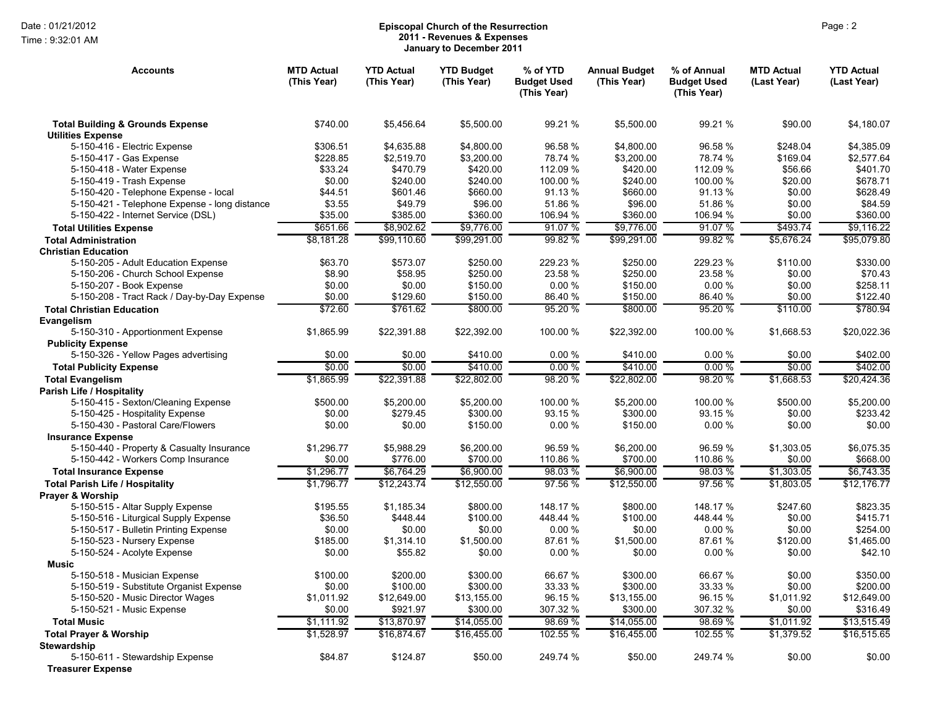Time : 9:32:01 AM

## Page : 2 **Episcopal Church of the Resurrection 2011 - Revenues & Expenses January to December 2011**

| <b>Accounts</b>                                                           | <b>MTD Actual</b><br>(This Year) | <b>YTD Actual</b><br>(This Year) | <b>YTD Budget</b><br>(This Year) | % of YTD<br><b>Budget Used</b><br>(This Year) | <b>Annual Budget</b><br>(This Year) | % of Annual<br><b>Budget Used</b><br>(This Year) | <b>MTD Actual</b><br>(Last Year) | <b>YTD Actual</b><br>(Last Year) |
|---------------------------------------------------------------------------|----------------------------------|----------------------------------|----------------------------------|-----------------------------------------------|-------------------------------------|--------------------------------------------------|----------------------------------|----------------------------------|
| <b>Total Building &amp; Grounds Expense</b><br><b>Utilities Expense</b>   | \$740.00                         | \$5,456.64                       | \$5,500.00                       | 99.21 %                                       | \$5,500.00                          | 99.21 %                                          | \$90.00                          | \$4,180.07                       |
| 5-150-416 - Electric Expense                                              | \$306.51                         | \$4,635.88                       | \$4,800.00                       | 96.58 %                                       | \$4,800.00                          | 96.58%                                           | \$248.04                         | \$4,385.09                       |
| 5-150-417 - Gas Expense                                                   | \$228.85                         | \$2.519.70                       | \$3,200.00                       | 78.74 %                                       | \$3.200.00                          | 78.74 %                                          | \$169.04                         | \$2.577.64                       |
| 5-150-418 - Water Expense                                                 | \$33.24                          | \$470.79                         | \$420.00                         | 112.09%                                       | \$420.00                            | 112.09 %                                         | \$56.66                          | \$401.70                         |
| 5-150-419 - Trash Expense                                                 | \$0.00                           | \$240.00                         | \$240.00                         | 100.00 %                                      | \$240.00                            | 100.00 %                                         | \$20.00                          | \$678.71                         |
| 5-150-420 - Telephone Expense - local                                     | \$44.51                          | \$601.46                         | \$660.00                         | 91.13 %                                       | \$660.00                            | 91.13%                                           | \$0.00                           | \$628.49                         |
| 5-150-421 - Telephone Expense - long distance                             | \$3.55                           | \$49.79                          | \$96.00                          | 51.86%                                        | \$96.00                             | 51.86 %                                          | \$0.00                           | \$84.59                          |
| 5-150-422 - Internet Service (DSL)                                        | \$35.00                          | \$385.00                         | \$360.00                         | 106.94 %                                      | \$360.00                            | 106.94 %                                         | \$0.00                           | \$360.00                         |
| <b>Total Utilities Expense</b>                                            | \$651.66                         | \$8,902.62                       | \$9,776.00                       | 91.07%                                        | \$9,776.00                          | 91.07%                                           | \$493.74                         | \$9,116.22                       |
| <b>Total Administration</b>                                               | \$8,181.28                       | \$99.110.60                      | \$99,291.00                      | 99.82 %                                       | \$99,291.00                         | 99.82 %                                          | \$5,676.24                       | \$95,079.80                      |
| <b>Christian Education</b>                                                |                                  |                                  |                                  |                                               |                                     |                                                  |                                  |                                  |
| 5-150-205 - Adult Education Expense                                       | \$63.70                          | \$573.07                         | \$250.00                         | 229.23 %                                      | \$250.00                            | 229.23 %                                         | \$110.00                         | \$330.00                         |
| 5-150-206 - Church School Expense                                         | \$8.90                           | \$58.95                          | \$250.00                         | 23.58 %                                       | \$250.00                            | 23.58 %                                          | \$0.00                           | \$70.43                          |
| 5-150-207 - Book Expense                                                  | \$0.00                           | \$0.00                           | \$150.00                         | 0.00%                                         | \$150.00                            | 0.00%                                            | \$0.00                           | \$258.11                         |
| 5-150-208 - Tract Rack / Day-by-Day Expense                               | \$0.00                           | \$129.60                         | \$150.00                         | 86.40 %                                       | \$150.00                            | 86.40%                                           | \$0.00                           | \$122.40                         |
| <b>Total Christian Education</b>                                          | \$72.60                          | \$761.62                         | \$800.00                         | 95.20 %                                       | \$800.00                            | 95.20 %                                          | \$110.00                         | \$780.94                         |
| Evangelism                                                                |                                  |                                  |                                  |                                               |                                     |                                                  |                                  |                                  |
| 5-150-310 - Apportionment Expense                                         | \$1,865.99                       | \$22,391.88                      | \$22,392.00                      | 100.00 %                                      | \$22,392.00                         | 100.00 %                                         | \$1,668.53                       | \$20,022.36                      |
| <b>Publicity Expense</b>                                                  |                                  |                                  |                                  |                                               |                                     |                                                  |                                  |                                  |
| 5-150-326 - Yellow Pages advertising                                      | \$0.00                           | \$0.00                           | \$410.00                         | 0.00%                                         | \$410.00                            | 0.00%                                            | \$0.00                           | \$402.00                         |
| <b>Total Publicity Expense</b>                                            | \$0.00                           | \$0.00                           | \$410.00                         | 0.00%                                         | \$410.00                            | 0.00%                                            | \$0.00                           | \$402.00                         |
| <b>Total Evangelism</b>                                                   | \$1,865.99                       | \$22,391.88                      | \$22,802.00                      | 98.20 %                                       | \$22,802.00                         | 98.20%                                           | \$1,668.53                       | \$20,424.36                      |
| <b>Parish Life / Hospitality</b>                                          |                                  |                                  |                                  |                                               |                                     |                                                  |                                  |                                  |
| 5-150-415 - Sexton/Cleaning Expense                                       | \$500.00                         | \$5,200.00                       | \$5,200.00                       | 100.00 %                                      | \$5,200.00                          | 100.00 %                                         | \$500.00                         | \$5,200.00                       |
| 5-150-425 - Hospitality Expense                                           | \$0.00                           | \$279.45                         | \$300.00                         | 93.15 %                                       | \$300.00                            | 93.15 %                                          | \$0.00                           | \$233.42                         |
| 5-150-430 - Pastoral Care/Flowers                                         | \$0.00                           | \$0.00                           | \$150.00                         | 0.00%                                         | \$150.00                            | 0.00%                                            | \$0.00                           | \$0.00                           |
| <b>Insurance Expense</b>                                                  |                                  |                                  |                                  |                                               |                                     |                                                  |                                  |                                  |
| 5-150-440 - Property & Casualty Insurance                                 | \$1,296.77                       | \$5,988.29                       | \$6,200.00                       | 96.59 %                                       | \$6,200.00                          | 96.59 %                                          | \$1,303.05                       | \$6,075.35                       |
| 5-150-442 - Workers Comp Insurance                                        | \$0.00                           | \$776.00                         | \$700.00                         | 110.86 %                                      | \$700.00                            | 110.86 %                                         | \$0.00                           | \$668.00                         |
| <b>Total Insurance Expense</b>                                            | \$1,296.77                       | \$6,764.29                       | \$6,900.00                       | 98.03%                                        | \$6,900.00                          | 98.03%                                           | \$1,303.05                       | \$6,743.35                       |
| <b>Total Parish Life / Hospitality</b>                                    | \$1.796.77                       | \$12.243.74                      | \$12,550.00                      | 97.56 %                                       | \$12,550.00                         | 97.56 %                                          | \$1.803.05                       | \$12.176.77                      |
| <b>Prayer &amp; Worship</b>                                               |                                  | \$1.185.34                       | \$800.00                         | 148.17 %                                      | \$800.00                            | 148.17 %                                         |                                  | \$823.35                         |
| 5-150-515 - Altar Supply Expense<br>5-150-516 - Liturgical Supply Expense | \$195.55<br>\$36.50              | \$448.44                         | \$100.00                         | 448.44 %                                      | \$100.00                            | 448.44 %                                         | \$247.60<br>\$0.00               | \$415.71                         |
| 5-150-517 - Bulletin Printing Expense                                     | \$0.00                           | \$0.00                           | \$0.00                           | 0.00%                                         | \$0.00                              | 0.00%                                            | \$0.00                           | \$254.00                         |
| 5-150-523 - Nursery Expense                                               | \$185.00                         | \$1,314.10                       | \$1,500.00                       | 87.61%                                        | \$1,500.00                          | 87.61%                                           | \$120.00                         | \$1,465.00                       |
| 5-150-524 - Acolyte Expense                                               | \$0.00                           | \$55.82                          | \$0.00                           | 0.00%                                         | \$0.00                              | 0.00%                                            | \$0.00                           | \$42.10                          |
| Music                                                                     |                                  |                                  |                                  |                                               |                                     |                                                  |                                  |                                  |
| 5-150-518 - Musician Expense                                              | \$100.00                         | \$200.00                         | \$300.00                         | 66.67 %                                       | \$300.00                            | 66.67%                                           | \$0.00                           | \$350.00                         |
| 5-150-519 - Substitute Organist Expense                                   | \$0.00                           | \$100.00                         | \$300.00                         | 33.33 %                                       | \$300.00                            | 33.33 %                                          | \$0.00                           | \$200.00                         |
| 5-150-520 - Music Director Wages                                          | \$1,011.92                       | \$12,649.00                      | \$13,155.00                      | 96.15 %                                       | \$13,155.00                         | 96.15 %                                          | \$1,011.92                       | \$12,649.00                      |
| 5-150-521 - Music Expense                                                 | \$0.00                           | \$921.97                         | \$300.00                         | 307.32 %                                      | \$300.00                            | 307.32 %                                         | \$0.00                           | \$316.49                         |
| <b>Total Music</b>                                                        | \$1,111.92                       | \$13,870.97                      | \$14,055.00                      | 98.69%                                        | \$14,055.00                         | 98.69%                                           | \$1,011.92                       | \$13,515.49                      |
| <b>Total Prayer &amp; Worship</b>                                         | \$1,528.97                       | \$16,874.67                      | \$16,455.00                      | 102.55 %                                      | \$16,455.00                         | 102.55 %                                         | \$1,379.52                       | \$16,515.65                      |
| <b>Stewardship</b>                                                        |                                  |                                  |                                  |                                               |                                     |                                                  |                                  |                                  |
| 5-150-611 - Stewardship Expense                                           | \$84.87                          | \$124.87                         | \$50.00                          | 249.74 %                                      | \$50.00                             | 249.74 %                                         | \$0.00                           | \$0.00                           |
| <b>Treasurer Expense</b>                                                  |                                  |                                  |                                  |                                               |                                     |                                                  |                                  |                                  |